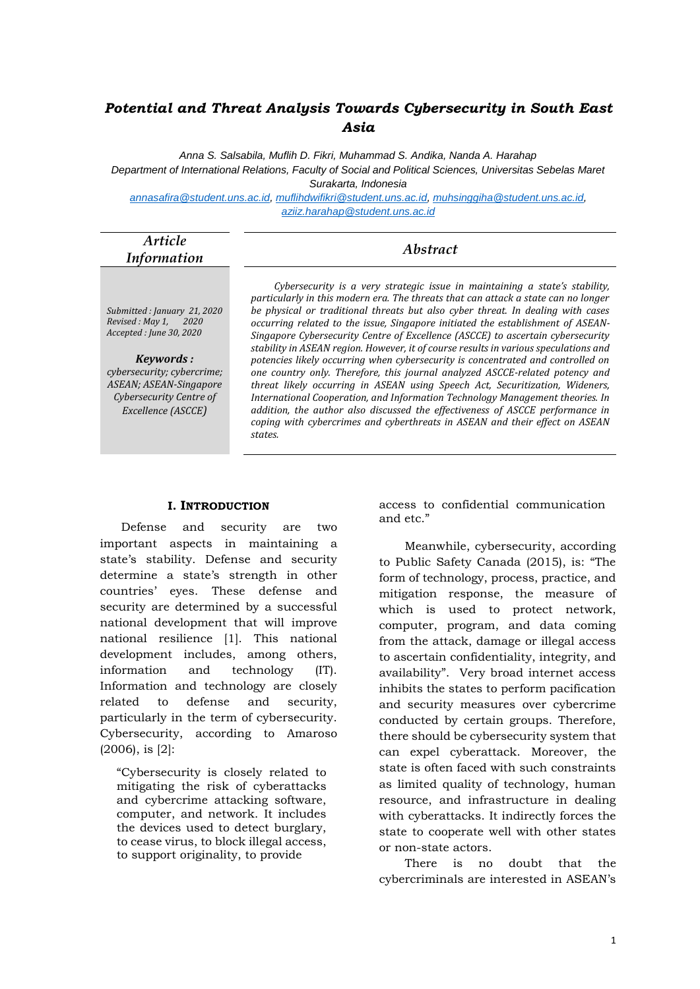# *Potential and Threat Analysis Towards Cybersecurity in South East Asia*

*Anna S. Salsabila, Muflih D. Fikri, Muhammad S. Andika, Nanda A. Harahap Department of International Relations, Faculty of Social and Political Sciences, Universitas Sebelas Maret Surakarta, Indonesia*

*[annasafira@student.uns.ac.id,](mailto:annasafira@student.uns.ac.id) [muflihdwifikri@student.uns.ac.id,](mailto:muflihdwifikri@student.uns.ac.id) [muhsinggiha@student.uns.ac.id,](mailto:muhsinggiha@student.uns.ac.id) [aziiz.harahap@student.uns.ac.id](mailto:aziiz.harahap@student.uns.ac.id)*

| Article<br><b>Information</b> | <i><b>Abstract</b></i> |  |
|-------------------------------|------------------------|--|
|                               |                        |  |

*Submitted : January 21, 2020 Revised : May 1, 2020 Accepted : June 30, 2020*

*Keywords : cybersecurity; cybercrime; ASEAN; ASEAN-Singapore Cybersecurity Centre of Excellence (ASCCE)*

*Cybersecurity is a very strategic issue in maintaining a state's stability, particularly in this modern era. The threats that can attack a state can no longer be physical or traditional threats but also cyber threat. In dealing with cases occurring related to the issue, Singapore initiated the establishment of ASEAN-Singapore Cybersecurity Centre of Excellence (ASCCE) to ascertain cybersecurity stability in ASEAN region. However, it of course results in various speculations and potencies likely occurring when cybersecurity is concentrated and controlled on one country only. Therefore, this journal analyzed ASCCE-related potency and threat likely occurring in ASEAN using Speech Act, Securitization, Wideners, International Cooperation, and Information Technology Management theories. In addition, the author also discussed the effectiveness of ASCCE performance in coping with cybercrimes and cyberthreats in ASEAN and their effect on ASEAN states.*

#### **I. INTRODUCTION**

Defense and security are two important aspects in maintaining a state's stability. Defense and security determine a state's strength in other countries' eyes. These defense and security are determined by a successful national development that will improve national resilience [1]. This national development includes, among others, information and technology (IT). Information and technology are closely related to defense and security, particularly in the term of cybersecurity. Cybersecurity, according to Amaroso (2006), is [2]:

"Cybersecurity is closely related to mitigating the risk of cyberattacks and cybercrime attacking software, computer, and network. It includes the devices used to detect burglary, to cease virus, to block illegal access, to support originality, to provide

access to confidential communication and etc."

Meanwhile, cybersecurity, according to Public Safety Canada (2015), is: "The form of technology, process, practice, and mitigation response, the measure of which is used to protect network, computer, program, and data coming from the attack, damage or illegal access to ascertain confidentiality, integrity, and availability". Very broad internet access inhibits the states to perform pacification and security measures over cybercrime conducted by certain groups. Therefore, there should be cybersecurity system that can expel cyberattack. Moreover, the state is often faced with such constraints as limited quality of technology, human resource, and infrastructure in dealing with cyberattacks. It indirectly forces the state to cooperate well with other states or non-state actors.

There is no doubt that the cybercriminals are interested in ASEAN's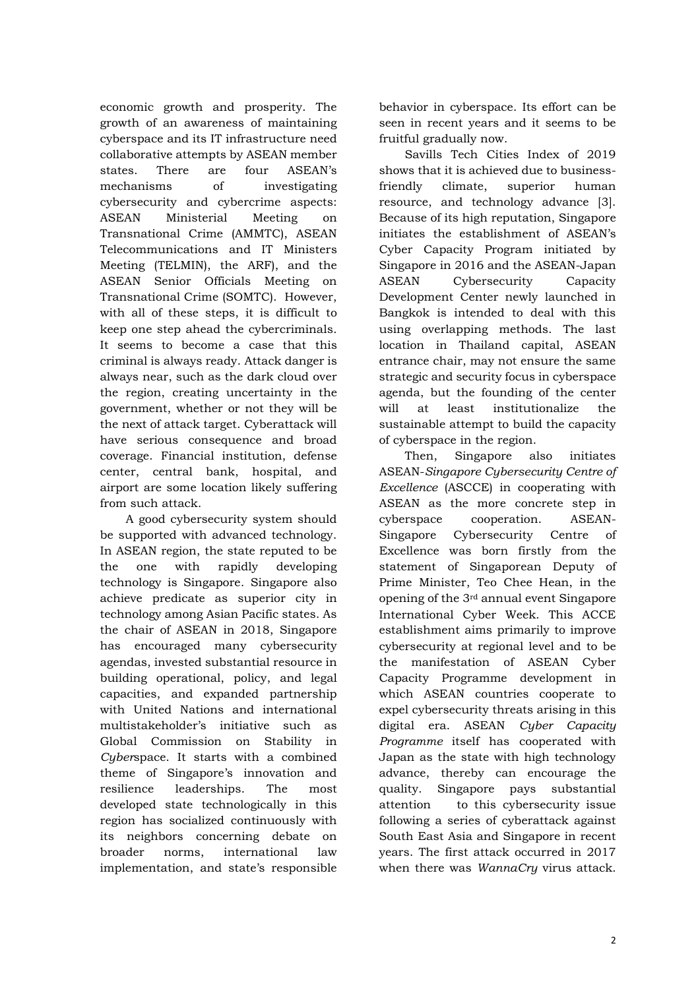economic growth and prosperity. The growth of an awareness of maintaining cyberspace and its IT infrastructure need collaborative attempts by ASEAN member states. There are four ASEAN's mechanisms of investigating cybersecurity and cybercrime aspects: ASEAN Ministerial Meeting on Transnational Crime (AMMTC), ASEAN Telecommunications and IT Ministers Meeting (TELMIN), the ARF), and the ASEAN Senior Officials Meeting on Transnational Crime (SOMTC). However, with all of these steps, it is difficult to keep one step ahead the cybercriminals. It seems to become a case that this criminal is always ready. Attack danger is always near, such as the dark cloud over the region, creating uncertainty in the government, whether or not they will be the next of attack target. Cyberattack will have serious consequence and broad coverage. Financial institution, defense center, central bank, hospital, and airport are some location likely suffering from such attack.

A good cybersecurity system should be supported with advanced technology. In ASEAN region, the state reputed to be the one with rapidly developing technology is Singapore. Singapore also achieve predicate as superior city in technology among Asian Pacific states. As the chair of ASEAN in 2018, Singapore has encouraged many cybersecurity agendas, invested substantial resource in building operational, policy, and legal capacities, and expanded partnership with United Nations and international multistakeholder's initiative such as Global Commission on Stability in *Cyber*space. It starts with a combined theme of Singapore's innovation and resilience leaderships. The most developed state technologically in this region has socialized continuously with its neighbors concerning debate on broader norms, international law implementation, and state's responsible

behavior in cyberspace. Its effort can be seen in recent years and it seems to be fruitful gradually now.

Savills Tech Cities Index of 2019 shows that it is achieved due to businessfriendly climate, superior human resource, and technology advance [3]. Because of its high reputation, Singapore initiates the establishment of ASEAN's Cyber Capacity Program initiated by Singapore in 2016 and the ASEAN-Japan ASEAN Cybersecurity Capacity Development Center newly launched in Bangkok is intended to deal with this using overlapping methods. The last location in Thailand capital, ASEAN entrance chair, may not ensure the same strategic and security focus in cyberspace agenda, but the founding of the center will at least institutionalize the sustainable attempt to build the capacity of cyberspace in the region.

Then, Singapore also initiates ASEAN-*Singapore Cybersecurity Centre of Excellence* (ASCCE) in cooperating with ASEAN as the more concrete step in cyberspace cooperation. ASEAN-Singapore Cybersecurity Centre of Excellence was born firstly from the statement of Singaporean Deputy of Prime Minister, Teo Chee Hean, in the opening of the 3rd annual event Singapore International Cyber Week. This ACCE establishment aims primarily to improve cybersecurity at regional level and to be the manifestation of ASEAN Cyber Capacity Programme development in which ASEAN countries cooperate to expel cybersecurity threats arising in this digital era. ASEAN *Cyber Capacity Programme* itself has cooperated with Japan as the state with high technology advance, thereby can encourage the quality. Singapore pays substantial attention to this cybersecurity issue following a series of cyberattack against South East Asia and Singapore in recent years. The first attack occurred in 2017 when there was *WannaCry* virus attack.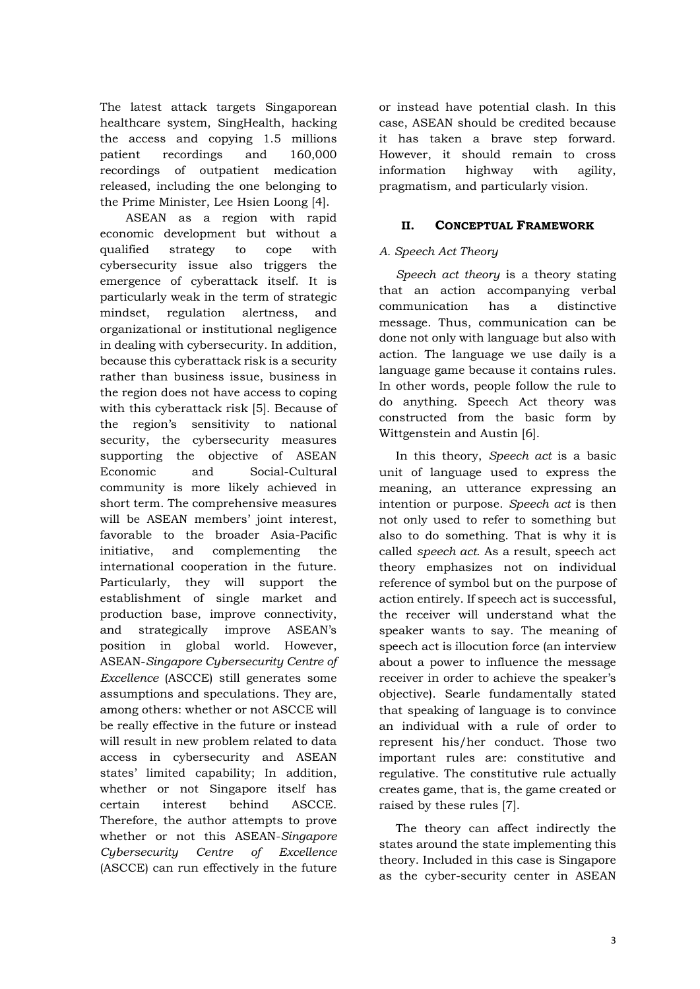The latest attack targets Singaporean healthcare system, SingHealth, hacking the access and copying 1.5 millions patient recordings and 160,000 recordings of outpatient medication released, including the one belonging to the Prime Minister, Lee Hsien Loong [4].

ASEAN as a region with rapid economic development but without a qualified strategy to cope with cybersecurity issue also triggers the emergence of cyberattack itself. It is particularly weak in the term of strategic mindset, regulation alertness, and organizational or institutional negligence in dealing with cybersecurity. In addition, because this cyberattack risk is a security rather than business issue, business in the region does not have access to coping with this cyberattack risk [5]. Because of the region's sensitivity to national security, the cybersecurity measures supporting the objective of ASEAN Economic and Social-Cultural community is more likely achieved in short term. The comprehensive measures will be ASEAN members' joint interest, favorable to the broader Asia-Pacific initiative, and complementing the international cooperation in the future. Particularly, they will support the establishment of single market and production base, improve connectivity, and strategically improve ASEAN's position in global world. However, ASEAN-*Singapore Cybersecurity Centre of Excellence* (ASCCE) still generates some assumptions and speculations. They are, among others: whether or not ASCCE will be really effective in the future or instead will result in new problem related to data access in cybersecurity and ASEAN states' limited capability; In addition, whether or not Singapore itself has certain interest behind ASCCE. Therefore, the author attempts to prove whether or not this ASEAN-*Singapore Cybersecurity Centre of Excellence* (ASCCE) can run effectively in the future

or instead have potential clash. In this case, ASEAN should be credited because it has taken a brave step forward. However, it should remain to cross information highway with agility, pragmatism, and particularly vision.

## **II. CONCEPTUAL FRAMEWORK**

# *A. Speech Act Theory*

*Speech act theory* is a theory stating that an action accompanying verbal communication has a distinctive message. Thus, communication can be done not only with language but also with action. The language we use daily is a language game because it contains rules. In other words, people follow the rule to do anything. Speech Act theory was constructed from the basic form by Wittgenstein and Austin [6].

In this theory, *Speech act* is a basic unit of language used to express the meaning, an utterance expressing an intention or purpose. *Speech act* is then not only used to refer to something but also to do something. That is why it is called *speech act*. As a result, speech act theory emphasizes not on individual reference of symbol but on the purpose of action entirely. If speech act is successful, the receiver will understand what the speaker wants to say. The meaning of speech act is illocution force (an interview about a power to influence the message receiver in order to achieve the speaker's objective). Searle fundamentally stated that speaking of language is to convince an individual with a rule of order to represent his/her conduct. Those two important rules are: constitutive and regulative. The constitutive rule actually creates game, that is, the game created or raised by these rules [7].

The theory can affect indirectly the states around the state implementing this theory. Included in this case is Singapore as the cyber-security center in ASEAN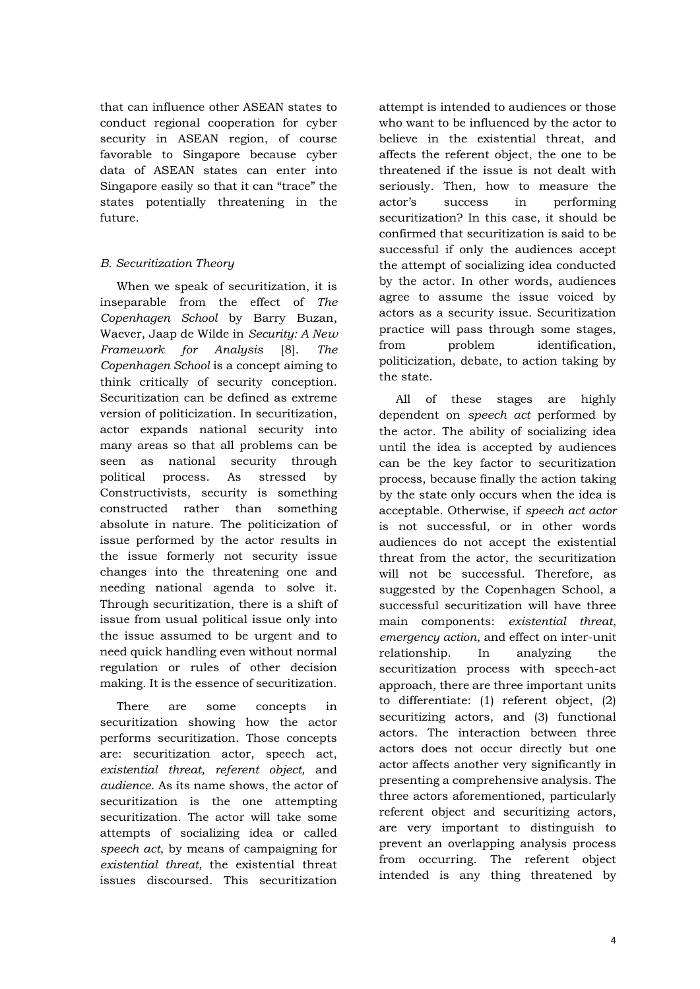that can influence other ASEAN states to conduct regional cooperation for cyber security in ASEAN region, of course favorable to Singapore because cyber data of ASEAN states can enter into Singapore easily so that it can "trace" the states potentially threatening in the future.

# *B. Securitization Theory*

When we speak of securitization, it is inseparable from the effect of *The Copenhagen School* by Barry Buzan, Waever, Jaap de Wilde in *Security: A New Framework for Analysis* [8]. *The Copenhagen School* is a concept aiming to think critically of security conception. Securitization can be defined as extreme version of politicization. In securitization, actor expands national security into many areas so that all problems can be seen as national security through political process. As stressed by Constructivists, security is something constructed rather than something absolute in nature. The politicization of issue performed by the actor results in the issue formerly not security issue changes into the threatening one and needing national agenda to solve it. Through securitization, there is a shift of issue from usual political issue only into the issue assumed to be urgent and to need quick handling even without normal regulation or rules of other decision making. It is the essence of securitization.

There are some concepts in securitization showing how the actor performs securitization. Those concepts are: securitization actor, speech act, *existential threat, referent object,* and *audience*. As its name shows, the actor of securitization is the one attempting securitization. The actor will take some attempts of socializing idea or called *speech act*, by means of campaigning for *existential threat,* the existential threat issues discoursed. This securitization

attempt is intended to audiences or those who want to be influenced by the actor to believe in the existential threat, and affects the referent object, the one to be threatened if the issue is not dealt with seriously. Then, how to measure the actor's success in performing securitization? In this case, it should be confirmed that securitization is said to be successful if only the audiences accept the attempt of socializing idea conducted by the actor. In other words, audiences agree to assume the issue voiced by actors as a security issue. Securitization practice will pass through some stages, from problem identification, politicization, debate, to action taking by the state.

All of these stages are highly dependent on *speech act* performed by the actor. The ability of socializing idea until the idea is accepted by audiences can be the key factor to securitization process, because finally the action taking by the state only occurs when the idea is acceptable. Otherwise, if *speech act actor* is not successful, or in other words audiences do not accept the existential threat from the actor, the securitization will not be successful. Therefore, as suggested by the Copenhagen School, a successful securitization will have three main components: *existential threat*, *emergency action*, and effect on inter-unit relationship. In analyzing the securitization process with speech-act approach, there are three important units to differentiate: (1) referent object, (2) securitizing actors, and (3) functional actors. The interaction between three actors does not occur directly but one actor affects another very significantly in presenting a comprehensive analysis. The three actors aforementioned, particularly referent object and securitizing actors, are very important to distinguish to prevent an overlapping analysis process from occurring. The referent object intended is any thing threatened by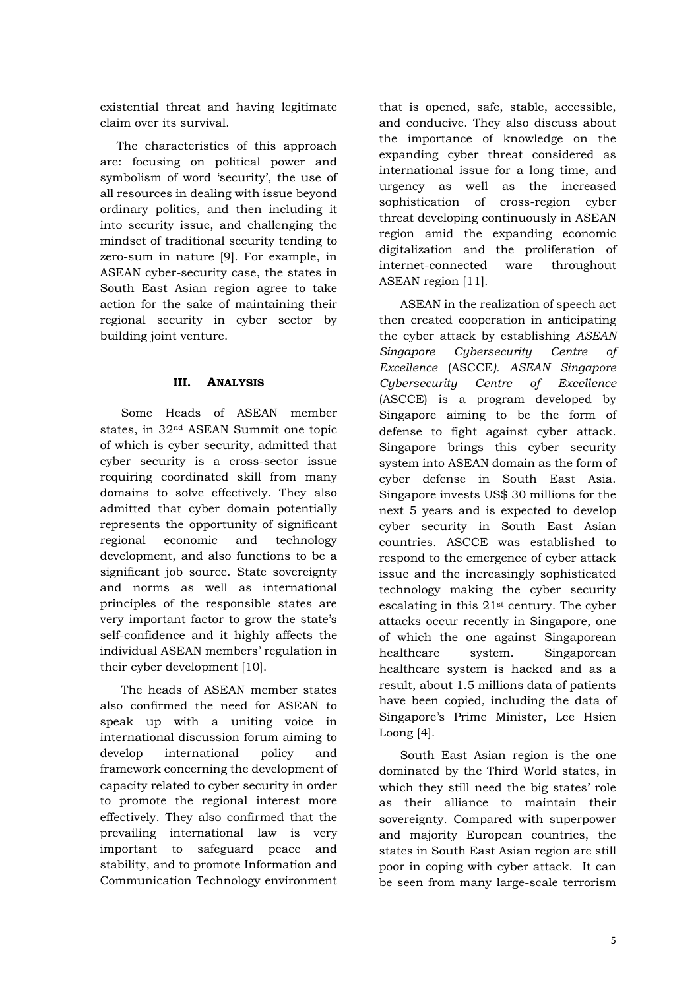existential threat and having legitimate claim over its survival.

The characteristics of this approach are: focusing on political power and symbolism of word 'security', the use of all resources in dealing with issue beyond ordinary politics, and then including it into security issue, and challenging the mindset of traditional security tending to zero-sum in nature [9]. For example, in ASEAN cyber-security case, the states in South East Asian region agree to take action for the sake of maintaining their regional security in cyber sector by building joint venture.

#### **III. ANALYSIS**

Some Heads of ASEAN member states, in 32nd ASEAN Summit one topic of which is cyber security, admitted that cyber security is a cross-sector issue requiring coordinated skill from many domains to solve effectively. They also admitted that cyber domain potentially represents the opportunity of significant regional economic and technology development, and also functions to be a significant job source. State sovereignty and norms as well as international principles of the responsible states are very important factor to grow the state's self-confidence and it highly affects the individual ASEAN members' regulation in their cyber development [10].

The heads of ASEAN member states also confirmed the need for ASEAN to speak up with a uniting voice in international discussion forum aiming to develop international policy and framework concerning the development of capacity related to cyber security in order to promote the regional interest more effectively. They also confirmed that the prevailing international law is very important to safeguard peace and stability, and to promote Information and Communication Technology environment

that is opened, safe, stable, accessible, and conducive. They also discuss about the importance of knowledge on the expanding cyber threat considered as international issue for a long time, and urgency as well as the increased sophistication of cross-region cyber threat developing continuously in ASEAN region amid the expanding economic digitalization and the proliferation of internet-connected ware throughout ASEAN region [11].

ASEAN in the realization of speech act then created cooperation in anticipating the cyber attack by establishing *ASEAN Singapore Cybersecurity Centre of Excellence* (ASCCE*). ASEAN Singapore Cybersecurity Centre of Excellence* (ASCCE) is a program developed by Singapore aiming to be the form of defense to fight against cyber attack. Singapore brings this cyber security system into ASEAN domain as the form of cyber defense in South East Asia. Singapore invests US\$ 30 millions for the next 5 years and is expected to develop cyber security in South East Asian countries. ASCCE was established to respond to the emergence of cyber attack issue and the increasingly sophisticated technology making the cyber security escalating in this 21st century. The cyber attacks occur recently in Singapore, one of which the one against Singaporean healthcare system. Singaporean healthcare system is hacked and as a result, about 1.5 millions data of patients have been copied, including the data of Singapore's Prime Minister, Lee Hsien Loong [4].

South East Asian region is the one dominated by the Third World states, in which they still need the big states' role as their alliance to maintain their sovereignty. Compared with superpower and majority European countries, the states in South East Asian region are still poor in coping with cyber attack. It can be seen from many large-scale terrorism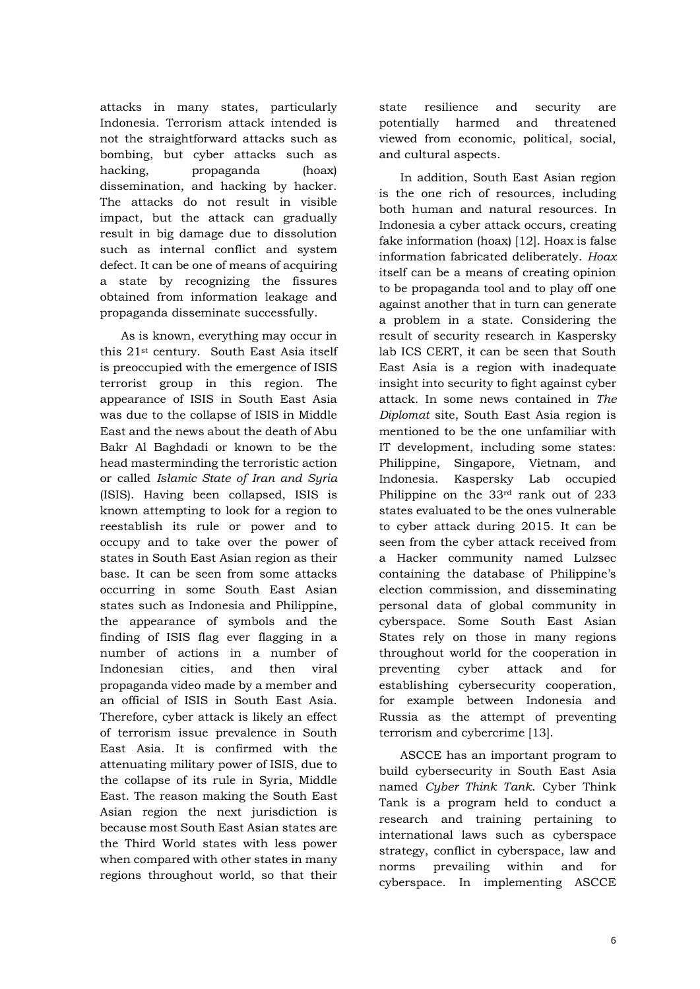attacks in many states, particularly Indonesia. Terrorism attack intended is not the straightforward attacks such as bombing, but cyber attacks such as hacking, propaganda (hoax) dissemination, and hacking by hacker. The attacks do not result in visible impact, but the attack can gradually result in big damage due to dissolution such as internal conflict and system defect. It can be one of means of acquiring a state by recognizing the fissures obtained from information leakage and propaganda disseminate successfully.

As is known, everything may occur in this 21st century. South East Asia itself is preoccupied with the emergence of ISIS terrorist group in this region. The appearance of ISIS in South East Asia was due to the collapse of ISIS in Middle East and the news about the death of Abu Bakr Al Baghdadi or known to be the head masterminding the terroristic action or called *Islamic State of Iran and Syria* (ISIS). Having been collapsed, ISIS is known attempting to look for a region to reestablish its rule or power and to occupy and to take over the power of states in South East Asian region as their base. It can be seen from some attacks occurring in some South East Asian states such as Indonesia and Philippine, the appearance of symbols and the finding of ISIS flag ever flagging in a number of actions in a number of Indonesian cities, and then viral propaganda video made by a member and an official of ISIS in South East Asia. Therefore, cyber attack is likely an effect of terrorism issue prevalence in South East Asia. It is confirmed with the attenuating military power of ISIS, due to the collapse of its rule in Syria, Middle East. The reason making the South East Asian region the next jurisdiction is because most South East Asian states are the Third World states with less power when compared with other states in many regions throughout world, so that their

state resilience and security are potentially harmed and threatened viewed from economic, political, social, and cultural aspects.

In addition, South East Asian region is the one rich of resources, including both human and natural resources. In Indonesia a cyber attack occurs, creating fake information (hoax) [12]. Hoax is false information fabricated deliberately. *Hoax*  itself can be a means of creating opinion to be propaganda tool and to play off one against another that in turn can generate a problem in a state. Considering the result of security research in Kaspersky lab ICS CERT, it can be seen that South East Asia is a region with inadequate insight into security to fight against cyber attack. In some news contained in *The Diplomat* site, South East Asia region is mentioned to be the one unfamiliar with IT development, including some states: Philippine, Singapore, Vietnam, and Indonesia. Kaspersky Lab occupied Philippine on the 33rd rank out of 233 states evaluated to be the ones vulnerable to cyber attack during 2015. It can be seen from the cyber attack received from a Hacker community named Lulzsec containing the database of Philippine's election commission, and disseminating personal data of global community in cyberspace. Some South East Asian States rely on those in many regions throughout world for the cooperation in preventing cyber attack and for establishing cybersecurity cooperation, for example between Indonesia and Russia as the attempt of preventing terrorism and cybercrime [13].

ASCCE has an important program to build cybersecurity in South East Asia named *Cyber Think Tank*. Cyber Think Tank is a program held to conduct a research and training pertaining to international laws such as cyberspace strategy, conflict in cyberspace, law and norms prevailing within and for cyberspace. In implementing ASCCE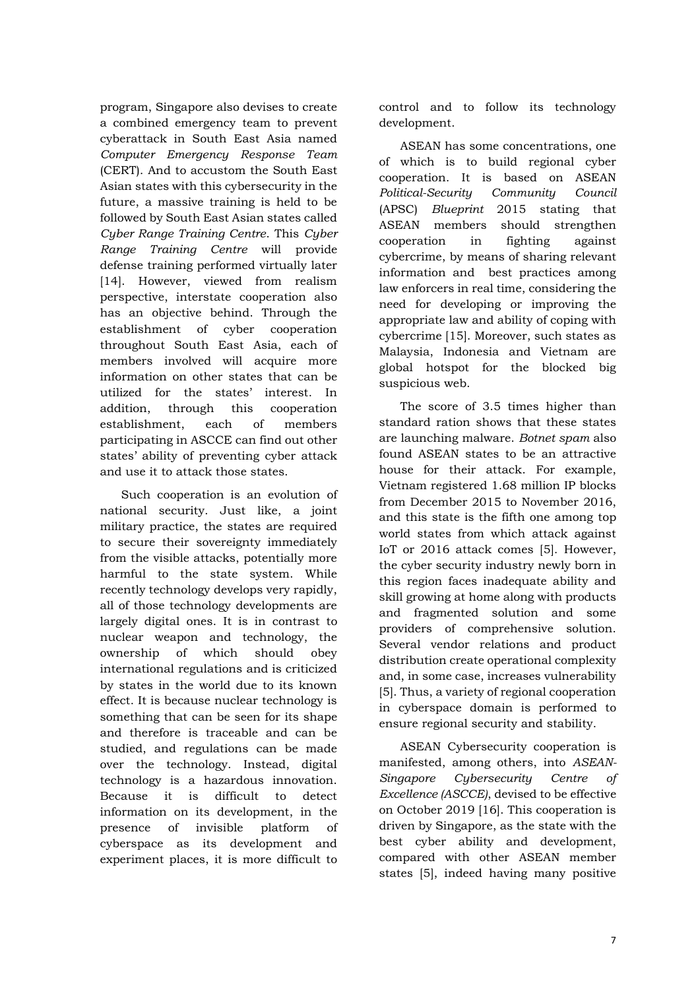program, Singapore also devises to create a combined emergency team to prevent cyberattack in South East Asia named *Computer Emergency Response Team* (CERT). And to accustom the South East Asian states with this cybersecurity in the future, a massive training is held to be followed by South East Asian states called *Cyber Range Training Centre*. This *Cyber Range Training Centre* will provide defense training performed virtually later [14]. However, viewed from realism perspective, interstate cooperation also has an objective behind. Through the establishment of cyber cooperation throughout South East Asia, each of members involved will acquire more information on other states that can be utilized for the states' interest. In addition, through this cooperation establishment, each of members participating in ASCCE can find out other states' ability of preventing cyber attack and use it to attack those states.

Such cooperation is an evolution of national security. Just like, a joint military practice, the states are required to secure their sovereignty immediately from the visible attacks, potentially more harmful to the state system. While recently technology develops very rapidly, all of those technology developments are largely digital ones. It is in contrast to nuclear weapon and technology, the ownership of which should obey international regulations and is criticized by states in the world due to its known effect. It is because nuclear technology is something that can be seen for its shape and therefore is traceable and can be studied, and regulations can be made over the technology. Instead, digital technology is a hazardous innovation. Because it is difficult to detect information on its development, in the presence of invisible platform of cyberspace as its development and experiment places, it is more difficult to

control and to follow its technology development.

ASEAN has some concentrations, one of which is to build regional cyber cooperation. It is based on ASEAN *Political-Security Community Council* (APSC) *Blueprint* 2015 stating that ASEAN members should strengthen cooperation in fighting against cybercrime, by means of sharing relevant information and best practices among law enforcers in real time, considering the need for developing or improving the appropriate law and ability of coping with cybercrime [15]. Moreover, such states as Malaysia, Indonesia and Vietnam are global hotspot for the blocked big suspicious web.

The score of 3.5 times higher than standard ration shows that these states are launching malware. *Botnet spam* also found ASEAN states to be an attractive house for their attack. For example, Vietnam registered 1.68 million IP blocks from December 2015 to November 2016, and this state is the fifth one among top world states from which attack against IoT or 2016 attack comes [5]. However, the cyber security industry newly born in this region faces inadequate ability and skill growing at home along with products and fragmented solution and some providers of comprehensive solution. Several vendor relations and product distribution create operational complexity and, in some case, increases vulnerability [5]. Thus, a variety of regional cooperation in cyberspace domain is performed to ensure regional security and stability.

ASEAN Cybersecurity cooperation is manifested, among others, into *ASEAN-Singapore Cybersecurity Centre of Excellence (ASCCE)*, devised to be effective on October 2019 [16]. This cooperation is driven by Singapore, as the state with the best cyber ability and development, compared with other ASEAN member states [5], indeed having many positive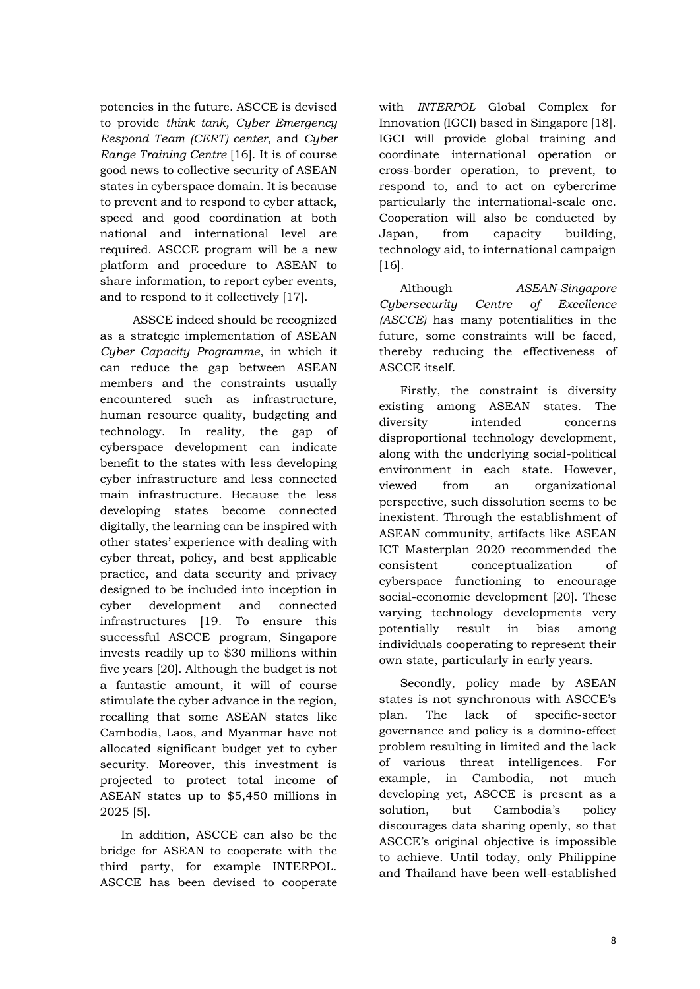potencies in the future. ASCCE is devised to provide *think tank, Cyber Emergency Respond Team (CERT) center*, and *Cyber Range Training Centre* [16]. It is of course good news to collective security of ASEAN states in cyberspace domain. It is because to prevent and to respond to cyber attack, speed and good coordination at both national and international level are required. ASCCE program will be a new platform and procedure to ASEAN to share information, to report cyber events, and to respond to it collectively [17].

 ASSCE indeed should be recognized as a strategic implementation of ASEAN *Cyber Capacity Programme*, in which it can reduce the gap between ASEAN members and the constraints usually encountered such as infrastructure, human resource quality, budgeting and technology. In reality, the gap of cyberspace development can indicate benefit to the states with less developing cyber infrastructure and less connected main infrastructure. Because the less developing states become connected digitally, the learning can be inspired with other states' experience with dealing with cyber threat, policy, and best applicable practice, and data security and privacy designed to be included into inception in cyber development and connected infrastructures [19. To ensure this successful ASCCE program, Singapore invests readily up to \$30 millions within five years [20]. Although the budget is not a fantastic amount, it will of course stimulate the cyber advance in the region, recalling that some ASEAN states like Cambodia, Laos, and Myanmar have not allocated significant budget yet to cyber security. Moreover, this investment is projected to protect total income of ASEAN states up to \$5,450 millions in 2025 [5].

In addition, ASCCE can also be the bridge for ASEAN to cooperate with the third party, for example INTERPOL. ASCCE has been devised to cooperate with *INTERPOL* Global Complex for Innovation (IGCI) based in Singapore [18]. IGCI will provide global training and coordinate international operation or cross-border operation, to prevent, to respond to, and to act on cybercrime particularly the international-scale one. Cooperation will also be conducted by Japan, from capacity building, technology aid, to international campaign [16]*.*

Although *ASEAN-Singapore Cybersecurity Centre of Excellence (ASCCE)* has many potentialities in the future, some constraints will be faced, thereby reducing the effectiveness of ASCCE itself.

Firstly, the constraint is diversity existing among ASEAN states. The diversity intended concerns disproportional technology development, along with the underlying social-political environment in each state. However, viewed from an organizational perspective, such dissolution seems to be inexistent. Through the establishment of ASEAN community, artifacts like ASEAN ICT Masterplan 2020 recommended the consistent conceptualization of cyberspace functioning to encourage social-economic development [20]. These varying technology developments very potentially result in bias among individuals cooperating to represent their own state, particularly in early years.

Secondly, policy made by ASEAN states is not synchronous with ASCCE's plan. The lack of specific-sector governance and policy is a domino-effect problem resulting in limited and the lack of various threat intelligences. For example, in Cambodia, not much developing yet, ASCCE is present as a solution, but Cambodia's policy discourages data sharing openly, so that ASCCE's original objective is impossible to achieve. Until today, only Philippine and Thailand have been well-established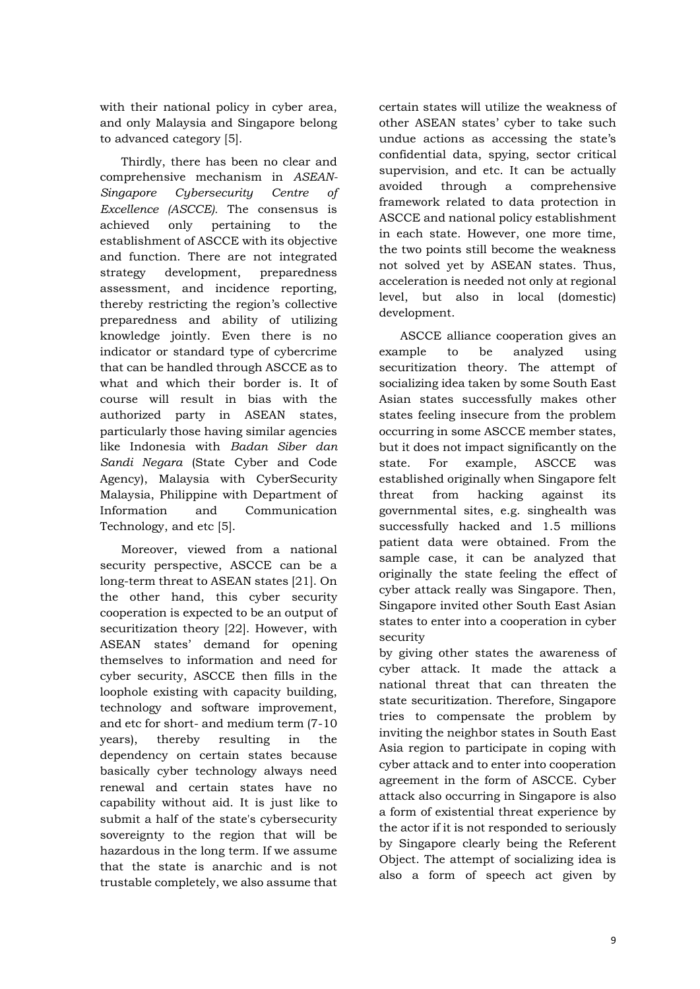with their national policy in cyber area, and only Malaysia and Singapore belong to advanced category [5].

Thirdly, there has been no clear and comprehensive mechanism in *ASEAN-Singapore Cybersecurity Centre of Excellence (ASCCE).* The consensus is achieved only pertaining to the establishment of ASCCE with its objective and function. There are not integrated strategy development, preparedness assessment, and incidence reporting, thereby restricting the region's collective preparedness and ability of utilizing knowledge jointly. Even there is no indicator or standard type of cybercrime that can be handled through ASCCE as to what and which their border is. It of course will result in bias with the authorized party in ASEAN states, particularly those having similar agencies like Indonesia with *Badan Siber dan Sandi Negara* (State Cyber and Code Agency), Malaysia with CyberSecurity Malaysia, Philippine with Department of Information and Communication Technology, and etc [5].

Moreover, viewed from a national security perspective, ASCCE can be a long-term threat to ASEAN states [21]. On the other hand, this cyber security cooperation is expected to be an output of securitization theory [22]. However, with ASEAN states' demand for opening themselves to information and need for cyber security, ASCCE then fills in the loophole existing with capacity building, technology and software improvement, and etc for short- and medium term (7-10 years), thereby resulting in the dependency on certain states because basically cyber technology always need renewal and certain states have no capability without aid. It is just like to submit a half of the state's cybersecurity sovereignty to the region that will be hazardous in the long term. If we assume that the state is anarchic and is not trustable completely, we also assume that

certain states will utilize the weakness of other ASEAN states' cyber to take such undue actions as accessing the state's confidential data, spying, sector critical supervision, and etc. It can be actually avoided through a comprehensive framework related to data protection in ASCCE and national policy establishment in each state. However, one more time, the two points still become the weakness not solved yet by ASEAN states. Thus, acceleration is needed not only at regional level, but also in local (domestic) development.

ASCCE alliance cooperation gives an example to be analyzed using securitization theory. The attempt of socializing idea taken by some South East Asian states successfully makes other states feeling insecure from the problem occurring in some ASCCE member states, but it does not impact significantly on the state. For example, ASCCE was established originally when Singapore felt threat from hacking against its governmental sites, e.g. singhealth was successfully hacked and 1.5 millions patient data were obtained. From the sample case, it can be analyzed that originally the state feeling the effect of cyber attack really was Singapore. Then, Singapore invited other South East Asian states to enter into a cooperation in cyber security

by giving other states the awareness of cyber attack. It made the attack a national threat that can threaten the state securitization. Therefore, Singapore tries to compensate the problem by inviting the neighbor states in South East Asia region to participate in coping with cyber attack and to enter into cooperation agreement in the form of ASCCE. Cyber attack also occurring in Singapore is also a form of existential threat experience by the actor if it is not responded to seriously by Singapore clearly being the Referent Object. The attempt of socializing idea is also a form of speech act given by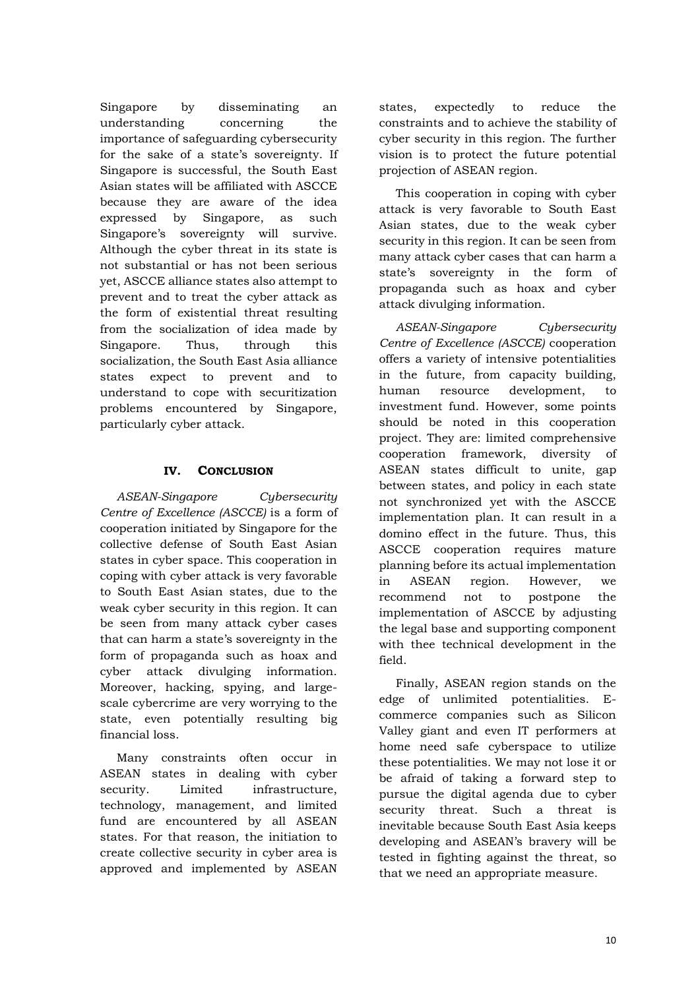Singapore by disseminating an understanding concerning the importance of safeguarding cybersecurity for the sake of a state's sovereignty. If Singapore is successful, the South East Asian states will be affiliated with ASCCE because they are aware of the idea expressed by Singapore, as such Singapore's sovereignty will survive. Although the cyber threat in its state is not substantial or has not been serious yet, ASCCE alliance states also attempt to prevent and to treat the cyber attack as the form of existential threat resulting from the socialization of idea made by Singapore. Thus, through this socialization, the South East Asia alliance states expect to prevent and to understand to cope with securitization problems encountered by Singapore, particularly cyber attack.

### **IV. CONCLUSION**

*ASEAN-Singapore Cybersecurity Centre of Excellence (ASCCE)* is a form of cooperation initiated by Singapore for the collective defense of South East Asian states in cyber space. This cooperation in coping with cyber attack is very favorable to South East Asian states, due to the weak cyber security in this region. It can be seen from many attack cyber cases that can harm a state's sovereignty in the form of propaganda such as hoax and cyber attack divulging information. Moreover, hacking, spying, and largescale cybercrime are very worrying to the state, even potentially resulting big financial loss.

Many constraints often occur in ASEAN states in dealing with cyber security. Limited infrastructure, technology, management, and limited fund are encountered by all ASEAN states. For that reason, the initiation to create collective security in cyber area is approved and implemented by ASEAN

states, expectedly to reduce the constraints and to achieve the stability of cyber security in this region. The further vision is to protect the future potential projection of ASEAN region.

This cooperation in coping with cyber attack is very favorable to South East Asian states, due to the weak cyber security in this region. It can be seen from many attack cyber cases that can harm a state's sovereignty in the form of propaganda such as hoax and cyber attack divulging information.

*ASEAN-Singapore Cybersecurity Centre of Excellence (ASCCE)* cooperation offers a variety of intensive potentialities in the future, from capacity building, human resource development, to investment fund. However, some points should be noted in this cooperation project. They are: limited comprehensive cooperation framework, diversity of ASEAN states difficult to unite, gap between states, and policy in each state not synchronized yet with the ASCCE implementation plan. It can result in a domino effect in the future. Thus, this ASCCE cooperation requires mature planning before its actual implementation in ASEAN region. However, we recommend not to postpone the implementation of ASCCE by adjusting the legal base and supporting component with thee technical development in the field.

Finally, ASEAN region stands on the edge of unlimited potentialities. Ecommerce companies such as Silicon Valley giant and even IT performers at home need safe cyberspace to utilize these potentialities. We may not lose it or be afraid of taking a forward step to pursue the digital agenda due to cyber security threat. Such a threat is inevitable because South East Asia keeps developing and ASEAN's bravery will be tested in fighting against the threat, so that we need an appropriate measure.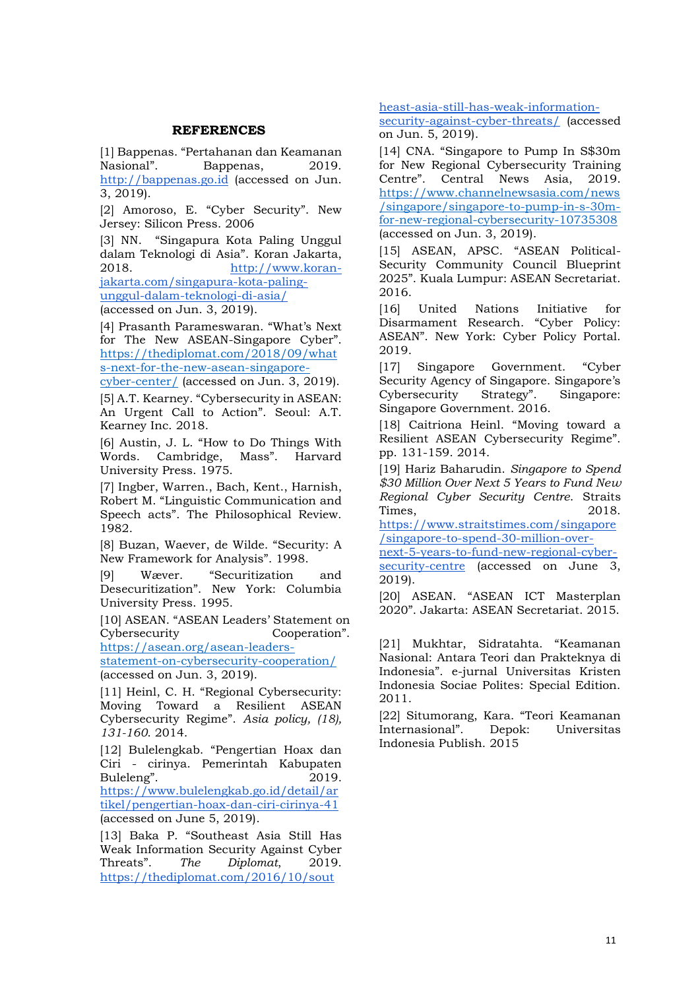#### **REFERENCES**

[1] Bappenas. "Pertahanan dan Keamanan Nasional". Bappenas, 2019. [http://bappenas.go.id](http://bappenas.go.id/) (accessed on Jun. 3, 2019).

[2] Amoroso, E. "Cyber Security". New Jersey: Silicon Press. 2006

[3] NN. "Singapura Kota Paling Unggul dalam Teknologi di Asia". Koran Jakarta, 2018. [http://www.koran](http://www.koran-jakarta.com/singapura-kota-paling-unggul-dalam-teknologi-di-asia/)[jakarta.com/singapura-kota-paling-](http://www.koran-jakarta.com/singapura-kota-paling-unggul-dalam-teknologi-di-asia/)

[unggul-dalam-teknologi-di-asia/](http://www.koran-jakarta.com/singapura-kota-paling-unggul-dalam-teknologi-di-asia/) (accessed on Jun. 3, 2019).

[4] Prasanth Parameswaran. "What's Next for The New ASEAN-Singapore Cyber". [https://thediplomat.com/2018/09/what](https://thediplomat.com/2018/09/whats-next-for-the-new-asean-singapore-cyber-center/) [s-next-for-the-new-asean-singapore-](https://thediplomat.com/2018/09/whats-next-for-the-new-asean-singapore-cyber-center/)

[cyber-center/](https://thediplomat.com/2018/09/whats-next-for-the-new-asean-singapore-cyber-center/) (accessed on Jun. 3, 2019).

[5] A.T. Kearney. "Cybersecurity in ASEAN: An Urgent Call to Action". Seoul: A.T. Kearney Inc. 2018.

[6] Austin, J. L. "How to Do Things With Words. Cambridge, Mass". Harvard University Press. 1975.

[7] Ingber, Warren., Bach, Kent., Harnish, Robert M. "Linguistic Communication and Speech acts". The Philosophical Review. 1982.

[8] Buzan, Waever, de Wilde. "Security: A New Framework for Analysis". 1998.

[9] Wæver. "Securitization and Desecuritization". New York: Columbia University Press. 1995.

[10] ASEAN. "ASEAN Leaders' Statement on Cybersecurity Cooperation".

[https://asean.org/asean-leaders-](https://asean.org/asean-leaders-statement-on-cybersecurity-cooperation/)

[statement-on-cybersecurity-cooperation/](https://asean.org/asean-leaders-statement-on-cybersecurity-cooperation/) (accessed on Jun. 3, 2019).

[11] Heinl, C. H. "Regional Cybersecurity: Moving Toward a Resilient ASEAN Cybersecurity Regime". *Asia policy, (18), 131-160*. 2014.

[12] Bulelengkab. "Pengertian Hoax dan Ciri - cirinya. Pemerintah Kabupaten Buleleng". 2019. [https://www.bulelengkab.go.id/detail/ar](https://www.bulelengkab.go.id/detail/artikel/pengertian-hoax-dan-ciri-cirinya-41) [tikel/pengertian-hoax-dan-ciri-cirinya-41](https://www.bulelengkab.go.id/detail/artikel/pengertian-hoax-dan-ciri-cirinya-41) (accessed on June 5, 2019).

[13] Baka P. "Southeast Asia Still Has Weak Information Security Against Cyber Threats". *The Diplomat*, 2019. [https://thediplomat.com/2016/10/sout](https://thediplomat.com/2016/10/southeast-asia-still-has-weak-information-security-against-cyber-threats/)

[heast-asia-still-has-weak-information-](https://thediplomat.com/2016/10/southeast-asia-still-has-weak-information-security-against-cyber-threats/)

[security-against-cyber-threats/](https://thediplomat.com/2016/10/southeast-asia-still-has-weak-information-security-against-cyber-threats/) (accessed on Jun. 5, 2019).

[14] CNA. "Singapore to Pump In S\$30m for New Regional Cybersecurity Training Centre". Central News Asia, 2019. [https://www.channelnewsasia.com/news](https://www.channelnewsasia.com/news/singapore/singapore-to-pump-in-s-30m-for-new-regional-cybersecurity-10735308) [/singapore/singapore-to-pump-in-s-30m](https://www.channelnewsasia.com/news/singapore/singapore-to-pump-in-s-30m-for-new-regional-cybersecurity-10735308)[for-new-regional-cybersecurity-10735308](https://www.channelnewsasia.com/news/singapore/singapore-to-pump-in-s-30m-for-new-regional-cybersecurity-10735308) (accessed on Jun. 3, 2019).

[15] ASEAN, APSC. "ASEAN Political-Security Community Council Blueprint 2025". Kuala Lumpur: ASEAN Secretariat. 2016.

[16] United Nations Initiative for Disarmament Research. "Cyber Policy: ASEAN". New York: Cyber Policy Portal. 2019.

[17] Singapore Government. "Cyber Security Agency of Singapore. Singapore's Cybersecurity Strategy". Singapore: Singapore Government. 2016.

[18] Caitriona Heinl. "Moving toward a Resilient ASEAN Cybersecurity Regime". pp. 131-159. 2014.

[19] Hariz Baharudin. *Singapore to Spend \$30 Million Over Next 5 Years to Fund New Regional Cyber Security Centre*. Straits Times, 2018.

[https://www.straitstimes.com/singapore](https://www.straitstimes.com/singapore/singapore-to-spend-30-million-over-next-5-years-to-fund-new-regional-cyber-security-centre) [/singapore-to-spend-30-million-over-](https://www.straitstimes.com/singapore/singapore-to-spend-30-million-over-next-5-years-to-fund-new-regional-cyber-security-centre)

[next-5-years-to-fund-new-regional-cyber](https://www.straitstimes.com/singapore/singapore-to-spend-30-million-over-next-5-years-to-fund-new-regional-cyber-security-centre)[security-centre](https://www.straitstimes.com/singapore/singapore-to-spend-30-million-over-next-5-years-to-fund-new-regional-cyber-security-centre) (accessed on June 3, 2019).

[20] ASEAN. "ASEAN ICT Masterplan 2020". Jakarta: ASEAN Secretariat. 2015.

[21] Mukhtar, Sidratahta. "Keamanan Nasional: Antara Teori dan Prakteknya di Indonesia". e-jurnal Universitas Kristen Indonesia Sociae Polites: Special Edition. 2011.

[22] Situmorang, Kara. "Teori Keamanan Internasional". Depok: Universitas Indonesia Publish. 2015